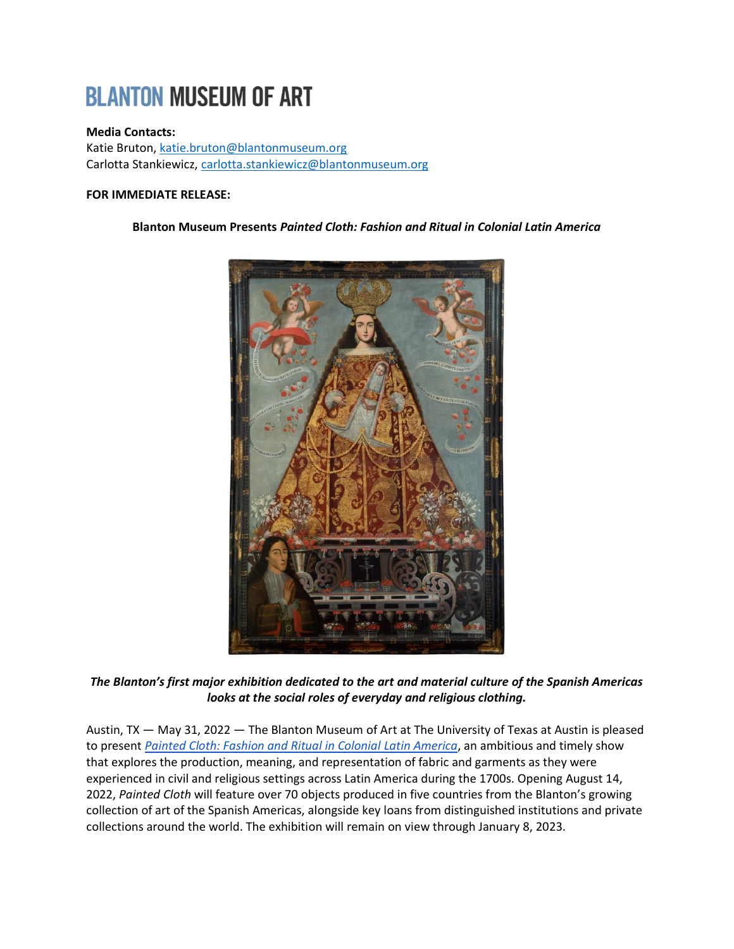# **BLANTON MUSEUM OF ART**

## **Media Contacts:**

Katie Bruton, [katie.bruton@blantonmuseum.org](mailto:katie.bruton@blantonmuseum.org) Carlotta Stankiewicz, [carlotta.stankiewicz@blantonmuseum.org](mailto:carlotta.stankiewicz@blantonmuseum.org)

## **FOR IMMEDIATE RELEASE:**

## **Blanton Museum Presents** *Painted Cloth: Fashion and Ritual in Colonial Latin America*



*The Blanton's first major exhibition dedicated to the art and material culture of the Spanish Americas looks at the social roles of everyday and religious clothing.* 

Austin, TX — May 31, 2022 — The Blanton Museum of Art at The University of Texas at Austin is pleased to present *[Painted Cloth: Fashion and Ritual in Colonial Latin America](https://blantonmuseum.org/exhibition/painted-cloth-fashion-and-ritual-in-colonial-latin-america/)*, an ambitious and timely show that explores the production, meaning, and representation of fabric and garments as they were experienced in civil and religious settings across Latin America during the 1700s. Opening August 14, 2022, *Painted Cloth* will feature over 70 objects produced in five countries from the Blanton's growing collection of art of the Spanish Americas, alongside key loans from distinguished institutions and private collections around the world. The exhibition will remain on view through January 8, 2023.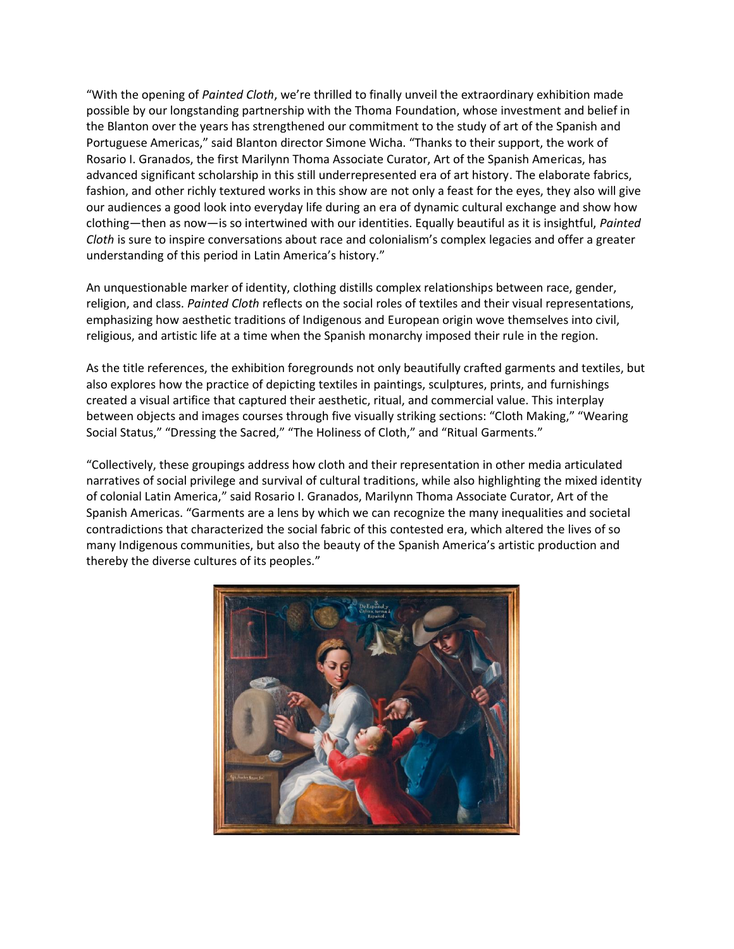"With the opening of *Painted Cloth*, we're thrilled to finally unveil the extraordinary exhibition made possible by our longstanding partnership with the Thoma Foundation, whose investment and belief in the Blanton over the years has strengthened our commitment to the study of art of the Spanish and Portuguese Americas," said Blanton director Simone Wicha. "Thanks to their support, the work of Rosario I. Granados, the first Marilynn Thoma Associate Curator, Art of the Spanish Americas, has advanced significant scholarship in this still underrepresented era of art history. The elaborate fabrics, fashion, and other richly textured works in this show are not only a feast for the eyes, they also will give our audiences a good look into everyday life during an era of dynamic cultural exchange and show how clothing—then as now—is so intertwined with our identities. Equally beautiful as it is insightful, *Painted Cloth* is sure to inspire conversations about race and colonialism's complex legacies and offer a greater understanding of this period in Latin America's history."

An unquestionable marker of identity, clothing distills complex relationships between race, gender, religion, and class. *Painted Cloth* reflects on the social roles of textiles and their visual representations, emphasizing how aesthetic traditions of Indigenous and European origin wove themselves into civil, religious, and artistic life at a time when the Spanish monarchy imposed their rule in the region.

As the title references, the exhibition foregrounds not only beautifully crafted garments and textiles, but also explores how the practice of depicting textiles in paintings, sculptures, prints, and furnishings created a visual artifice that captured their aesthetic, ritual, and commercial value. This interplay between objects and images courses through five visually striking sections: "Cloth Making," "Wearing Social Status," "Dressing the Sacred," "The Holiness of Cloth," and "Ritual Garments."

"Collectively, these groupings address how cloth and their representation in other media articulated narratives of social privilege and survival of cultural traditions, while also highlighting the mixed identity of colonial Latin America," said Rosario I. Granados, Marilynn Thoma Associate Curator, Art of the Spanish Americas. "Garments are a lens by which we can recognize the many inequalities and societal contradictions that characterized the social fabric of this contested era, which altered the lives of so many Indigenous communities, but also the beauty of the Spanish America's artistic production and thereby the diverse cultures of its peoples."

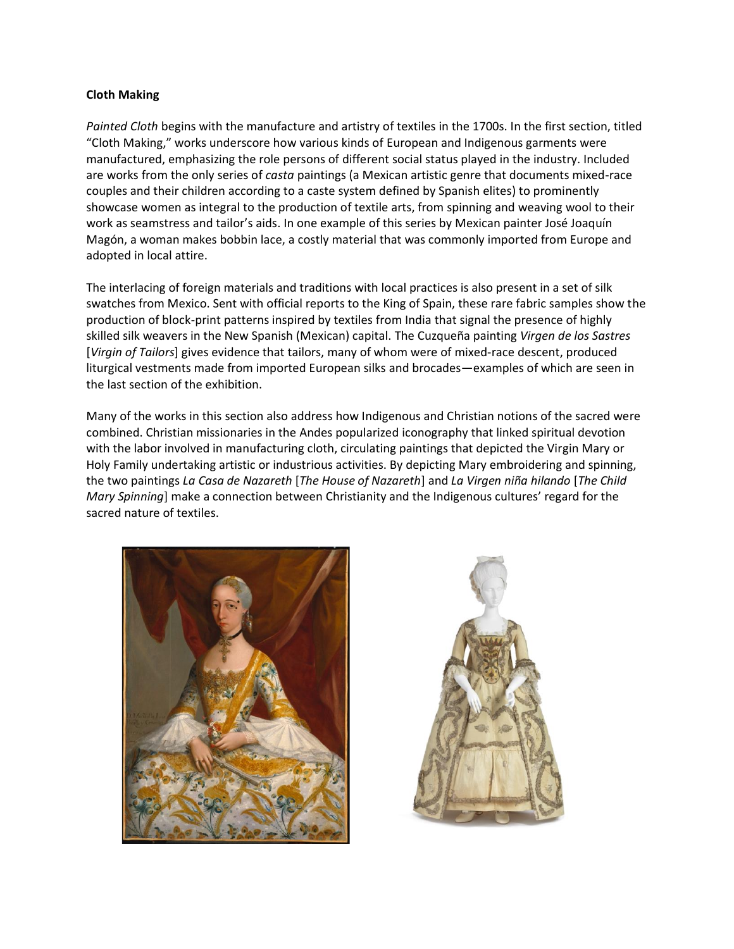#### **Cloth Making**

*Painted Cloth* begins with the manufacture and artistry of textiles in the 1700s. In the first section, titled "Cloth Making," works underscore how various kinds of European and Indigenous garments were manufactured, emphasizing the role persons of different social status played in the industry. Included are works from the only series of *casta* paintings (a Mexican artistic genre that documents mixed-race couples and their children according to a caste system defined by Spanish elites) to prominently showcase women as integral to the production of textile arts, from spinning and weaving wool to their work as seamstress and tailor's aids. In one example of this series by Mexican painter José Joaquín Magón, a woman makes bobbin lace, a costly material that was commonly imported from Europe and adopted in local attire.

The interlacing of foreign materials and traditions with local practices is also present in a set of silk swatches from Mexico. Sent with official reports to the King of Spain, these rare fabric samples show the production of block-print patterns inspired by textiles from India that signal the presence of highly skilled silk weavers in the New Spanish (Mexican) capital. The Cuzqueña painting *Virgen de los Sastres* [*Virgin of Tailors*] gives evidence that tailors, many of whom were of mixed-race descent, produced liturgical vestments made from imported European silks and brocades—examples of which are seen in the last section of the exhibition.

Many of the works in this section also address how Indigenous and Christian notions of the sacred were combined. Christian missionaries in the Andes popularized iconography that linked spiritual devotion with the labor involved in manufacturing cloth, circulating paintings that depicted the Virgin Mary or Holy Family undertaking artistic or industrious activities. By depicting Mary embroidering and spinning, the two paintings *La Casa de Nazareth* [*The House of Nazareth*] and *La Virgen niña hilando* [*The Child Mary Spinning*] make a connection between Christianity and the Indigenous cultures' regard for the sacred nature of textiles.



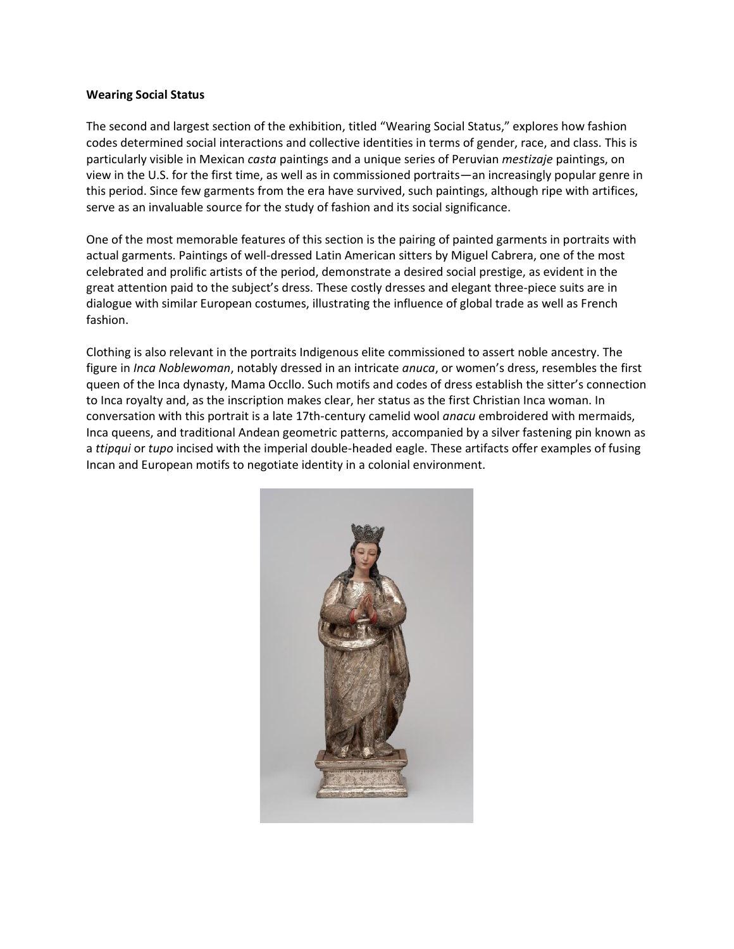#### **Wearing Social Status**

The second and largest section of the exhibition, titled "Wearing Social Status," explores how fashion codes determined social interactions and collective identities in terms of gender, race, and class. This is particularly visible in Mexican *casta* paintings and a unique series of Peruvian *mestizaje* paintings, on view in the U.S. for the first time, as well as in commissioned portraits—an increasingly popular genre in this period. Since few garments from the era have survived, such paintings, although ripe with artifices, serve as an invaluable source for the study of fashion and its social significance.

One of the most memorable features of this section is the pairing of painted garments in portraits with actual garments. Paintings of well-dressed Latin American sitters by Miguel Cabrera, one of the most celebrated and prolific artists of the period, demonstrate a desired social prestige, as evident in the great attention paid to the subject's dress. These costly dresses and elegant three-piece suits are in dialogue with similar European costumes, illustrating the influence of global trade as well as French fashion.

Clothing is also relevant in the portraits Indigenous elite commissioned to assert noble ancestry. The figure in *Inca Noblewoman*, notably dressed in an intricate *anuca*, or women's dress, resembles the first queen of the Inca dynasty, Mama Occllo. Such motifs and codes of dress establish the sitter's connection to Inca royalty and, as the inscription makes clear, her status as the first Christian Inca woman. In conversation with this portrait is a late 17th-century camelid wool *anacu* embroidered with mermaids, Inca queens, and traditional Andean geometric patterns, accompanied by a silver fastening pin known as a *ttipqui* or *tupo* incised with the imperial double-headed eagle. These artifacts offer examples of fusing Incan and European motifs to negotiate identity in a colonial environment.

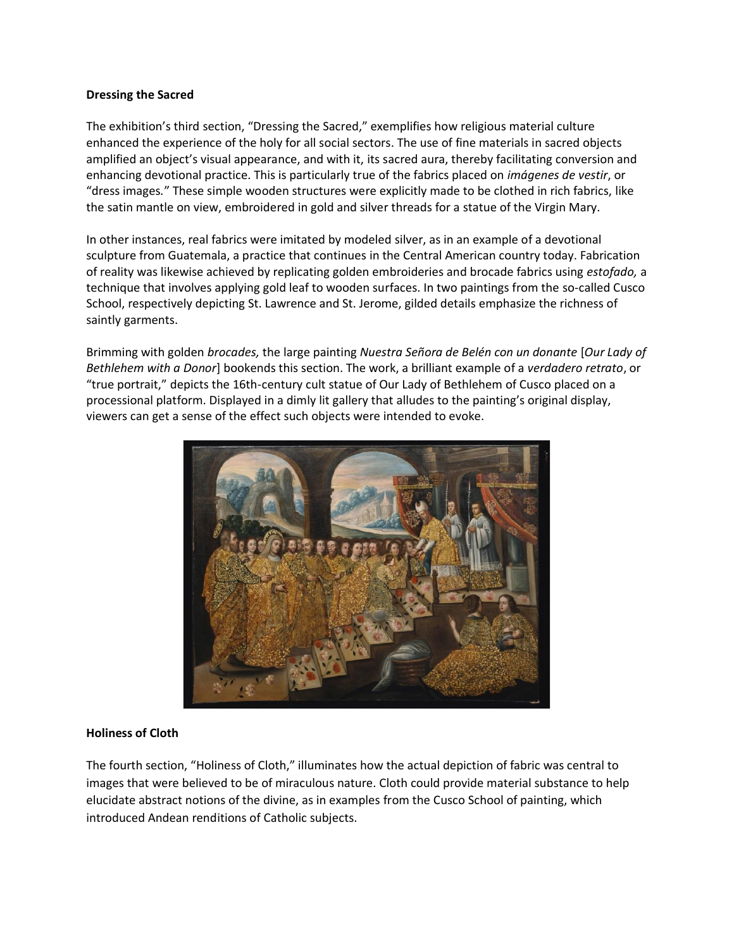#### **Dressing the Sacred**

The exhibition's third section, "Dressing the Sacred," exemplifies how religious material culture enhanced the experience of the holy for all social sectors. The use of fine materials in sacred objects amplified an object's visual appearance, and with it, its sacred aura, thereby facilitating conversion and enhancing devotional practice. This is particularly true of the fabrics placed on *imágenes de vestir*, or "dress images*.*" These simple wooden structures were explicitly made to be clothed in rich fabrics, like the satin mantle on view, embroidered in gold and silver threads for a statue of the Virgin Mary.

In other instances, real fabrics were imitated by modeled silver, as in an example of a devotional sculpture from Guatemala, a practice that continues in the Central American country today. Fabrication of reality was likewise achieved by replicating golden embroideries and brocade fabrics using *estofado,* a technique that involves applying gold leaf to wooden surfaces. In two paintings from the so-called Cusco School, respectively depicting St. Lawrence and St. Jerome, gilded details emphasize the richness of saintly garments.

Brimming with golden *brocades,* the large painting *Nuestra Señora de Belén con un donante* [*Our Lady of Bethlehem with a Donor*] bookends this section. The work, a brilliant example of a *verdadero retrato*, or "true portrait," depicts the 16th-century cult statue of Our Lady of Bethlehem of Cusco placed on a processional platform. Displayed in a dimly lit gallery that alludes to the painting's original display, viewers can get a sense of the effect such objects were intended to evoke.



## **Holiness of Cloth**

The fourth section, "Holiness of Cloth," illuminates how the actual depiction of fabric was central to images that were believed to be of miraculous nature. Cloth could provide material substance to help elucidate abstract notions of the divine, as in examples from the Cusco School of painting, which introduced Andean renditions of Catholic subjects.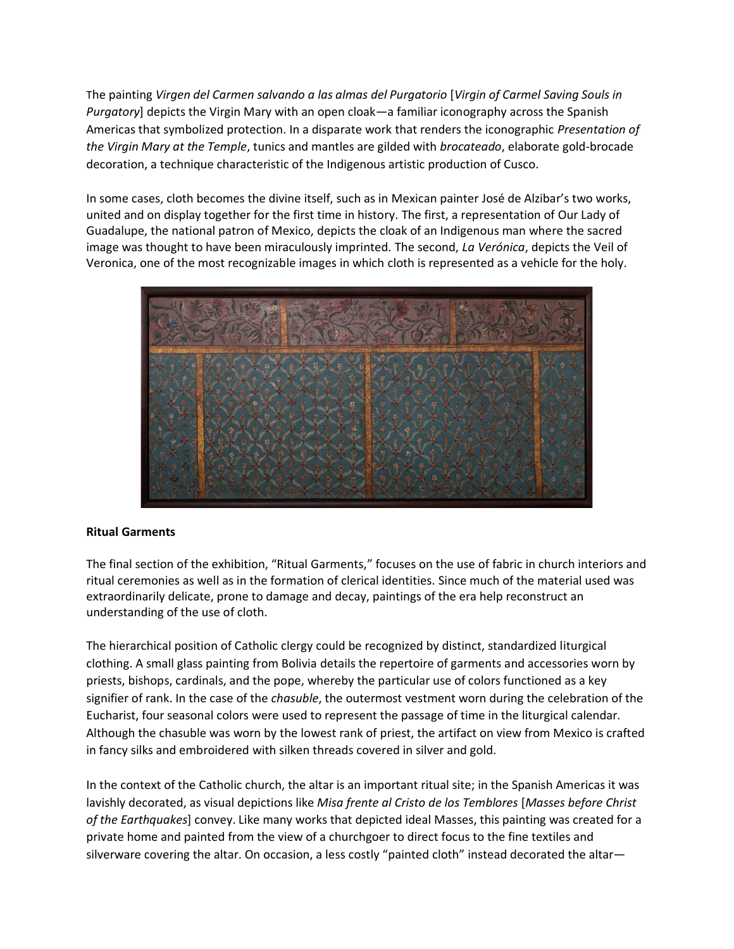The painting *Virgen del Carmen salvando a las almas del Purgatorio* [*Virgin of Carmel Saving Souls in Purgatory*] depicts the Virgin Mary with an open cloak—a familiar iconography across the Spanish Americas that symbolized protection. In a disparate work that renders the iconographic *Presentation of the Virgin Mary at the Temple*, tunics and mantles are gilded with *brocateado*, elaborate gold-brocade decoration, a technique characteristic of the Indigenous artistic production of Cusco.

In some cases, cloth becomes the divine itself, such as in Mexican painter José de Alzibar's two works, united and on display together for the first time in history. The first, a representation of Our Lady of Guadalupe, the national patron of Mexico, depicts the cloak of an Indigenous man where the sacred image was thought to have been miraculously imprinted. The second, *La Verónica*, depicts the Veil of Veronica, one of the most recognizable images in which cloth is represented as a vehicle for the holy.



## **Ritual Garments**

The final section of the exhibition, "Ritual Garments," focuses on the use of fabric in church interiors and ritual ceremonies as well as in the formation of clerical identities. Since much of the material used was extraordinarily delicate, prone to damage and decay, paintings of the era help reconstruct an understanding of the use of cloth.

The hierarchical position of Catholic clergy could be recognized by distinct, standardized liturgical clothing. A small glass painting from Bolivia details the repertoire of garments and accessories worn by priests, bishops, cardinals, and the pope, whereby the particular use of colors functioned as a key signifier of rank. In the case of the *chasuble*, the outermost vestment worn during the celebration of the Eucharist, four seasonal colors were used to represent the passage of time in the liturgical calendar. Although the chasuble was worn by the lowest rank of priest, the artifact on view from Mexico is crafted in fancy silks and embroidered with silken threads covered in silver and gold.

In the context of the Catholic church, the altar is an important ritual site; in the Spanish Americas it was lavishly decorated, as visual depictions like *Misa frente al Cristo de los Temblores* [*Masses before Christ of the Earthquakes*] convey. Like many works that depicted ideal Masses, this painting was created for a private home and painted from the view of a churchgoer to direct focus to the fine textiles and silverware covering the altar. On occasion, a less costly "painted cloth" instead decorated the altar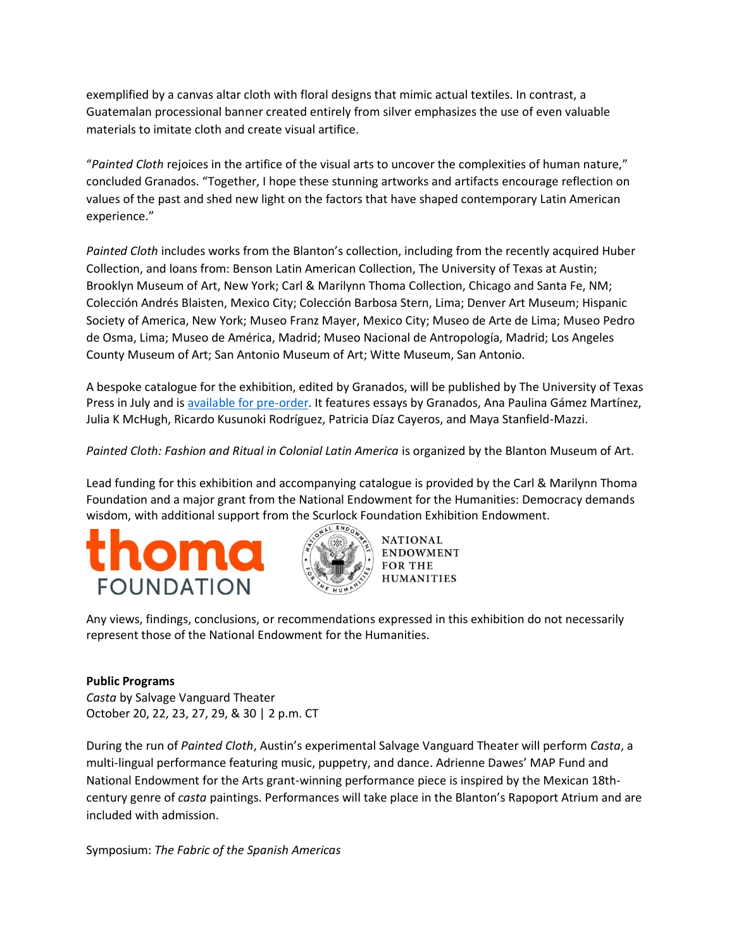exemplified by a canvas altar cloth with floral designs that mimic actual textiles. In contrast, a Guatemalan processional banner created entirely from silver emphasizes the use of even valuable materials to imitate cloth and create visual artifice.

"*Painted Cloth* rejoices in the artifice of the visual arts to uncover the complexities of human nature," concluded Granados. "Together, I hope these stunning artworks and artifacts encourage reflection on values of the past and shed new light on the factors that have shaped contemporary Latin American experience."

*Painted Cloth* includes works from the Blanton's collection, including from the recently acquired Huber Collection, and loans from: Benson Latin American Collection, The University of Texas at Austin; Brooklyn Museum of Art, New York; Carl & Marilynn Thoma Collection, Chicago and Santa Fe, NM; Colección Andrés Blaisten, Mexico City; Colección Barbosa Stern, Lima; Denver Art Museum; Hispanic Society of America, New York; Museo Franz Mayer, Mexico City; Museo de Arte de Lima; Museo Pedro de Osma, Lima; Museo de América, Madrid; Museo Nacional de Antropología, Madrid; Los Angeles County Museum of Art; San Antonio Museum of Art; Witte Museum, San Antonio.

A bespoke catalogue for the exhibition, edited by Granados, will be published by The University of Texas Press in July and is [available for pre-order.](https://utpress.utexas.edu/books/blanton-painted-cloth) It features essays by Granados, Ana Paulina Gámez Martínez, Julia K McHugh, Ricardo Kusunoki Rodríguez, Patricia Díaz Cayeros, and Maya Stanfield-Mazzi.

*Painted Cloth: Fashion and Ritual in Colonial Latin America* is organized by the Blanton Museum of Art.

Lead funding for this exhibition and accompanying catalogue is provided by the Carl & Marilynn Thoma Foundation and a major grant from the National Endowment for the Humanities: Democracy demands wisdom, with additional support from the Scurlock Foundation Exhibition Endowment.





**NATIONAL** ENDOWMENT **FOR THE HUMANITIES** 

Any views, findings, conclusions, or recommendations expressed in this exhibition do not necessarily represent those of the National Endowment for the Humanities.

## **Public Programs**

*Casta* by Salvage Vanguard Theater October 20, 22, 23, 27, 29, & 30 | 2 p.m. CT

During the run of *Painted Cloth*, Austin's experimental Salvage Vanguard Theater will perform *Casta*, a multi-lingual performance featuring music, puppetry, and dance. Adrienne Dawes' MAP Fund and National Endowment for the Arts grant-winning performance piece is inspired by the Mexican 18thcentury genre of *casta* paintings. Performances will take place in the Blanton's Rapoport Atrium and are included with admission.

Symposium: *The Fabric of the Spanish Americas*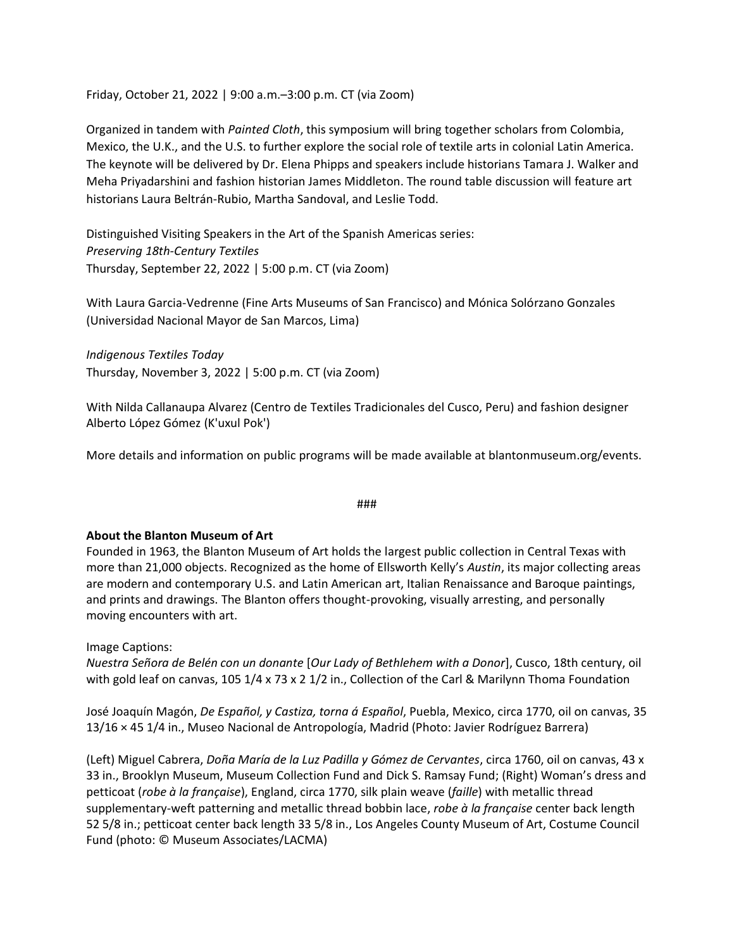Friday, October 21, 2022 | 9:00 a.m.–3:00 p.m. CT (via Zoom)

Organized in tandem with *Painted Cloth*, this symposium will bring together scholars from Colombia, Mexico, the U.K., and the U.S. to further explore the social role of textile arts in colonial Latin America. The keynote will be delivered by Dr. Elena Phipps and speakers include historians Tamara J. Walker and Meha Priyadarshini and fashion historian James Middleton. The round table discussion will feature art historians Laura Beltrán-Rubio, Martha Sandoval, and Leslie Todd.

Distinguished Visiting Speakers in the Art of the Spanish Americas series: *Preserving 18th-Century Textiles*  Thursday, September 22, 2022 | 5:00 p.m. CT (via Zoom)

With Laura Garcia-Vedrenne (Fine Arts Museums of San Francisco) and Mónica Solórzano Gonzales (Universidad Nacional Mayor de San Marcos, Lima)

*Indigenous Textiles Today* Thursday, November 3, 2022 | 5:00 p.m. CT (via Zoom)

With Nilda Callanaupa Alvarez (Centro de Textiles Tradicionales del Cusco, Peru) and fashion designer Alberto López Gómez (K'uxul Pok')

More details and information on public programs will be made available at blantonmuseum.org/events.

###

#### **About the Blanton Museum of Art**

Founded in 1963, the Blanton Museum of Art holds the largest public collection in Central Texas with more than 21,000 objects. Recognized as the home of Ellsworth Kelly's *Austin*, its major collecting areas are modern and contemporary U.S. and Latin American art, Italian Renaissance and Baroque paintings, and prints and drawings. The Blanton offers thought-provoking, visually arresting, and personally moving encounters with art.

Image Captions:

*Nuestra Señora de Belén con un donante* [*Our Lady of Bethlehem with a Donor*], Cusco, 18th century, oil with gold leaf on canvas, 105 1/4 x 73 x 2 1/2 in., Collection of the Carl & Marilynn Thoma Foundation

José Joaquín Magón, *De Español, y Castiza, torna á Español*, Puebla, Mexico, circa 1770, oil on canvas, 35 13/16 × 45 1/4 in., Museo Nacional de Antropología, Madrid (Photo: Javier Rodríguez Barrera)

(Left) Miguel Cabrera, *Doña María de la Luz Padilla y Gómez de Cervantes*, circa 1760, oil on canvas, 43 x 33 in., Brooklyn Museum, Museum Collection Fund and Dick S. Ramsay Fund; (Right) Woman's dress and petticoat (*robe à la française*), England, circa 1770, silk plain weave (*faille*) with metallic thread supplementary-weft patterning and metallic thread bobbin lace, *robe à la française* center back length 52 5/8 in.; petticoat center back length 33 5/8 in., Los Angeles County Museum of Art, Costume Council Fund (photo: © Museum Associates/LACMA)